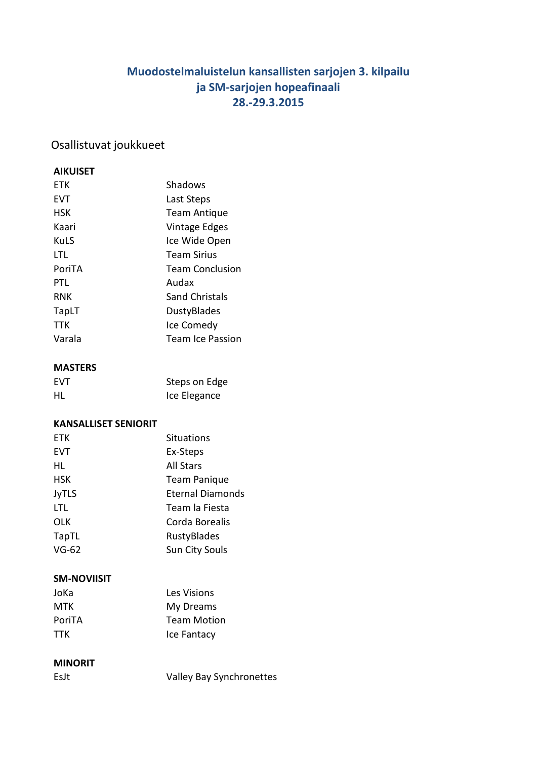# **Muodostelmaluistelun kansallisten sarjojen 3. kilpailu ja SM-sarjojen hopeafinaali 28.-29.3.2015**

## Osallistuvat joukkueet

### **AIKUISET**

| <b>FTK</b> | Shadows                |
|------------|------------------------|
| <b>EVT</b> | Last Steps             |
| <b>HSK</b> | <b>Team Antique</b>    |
| Kaari      | Vintage Edges          |
| KuLS       | Ice Wide Open          |
| LTL        | <b>Team Sirius</b>     |
| PoriTA     | <b>Team Conclusion</b> |
| PTL        | Audax                  |
| <b>RNK</b> | Sand Christals         |
| TapLT      | DustyBlades            |
| TTK        | Ice Comedy             |
| Varala     | Team Ice Passion       |
|            |                        |

### **MASTERS**

| <b>FVT</b> | Steps on Edge |
|------------|---------------|
| HL         | Ice Elegance  |

### **KANSALLISET SENIORIT**

| <b>ETK</b>   | <b>Situations</b>       |
|--------------|-------------------------|
| <b>EVT</b>   | Ex-Steps                |
| HL           | <b>All Stars</b>        |
| <b>HSK</b>   | <b>Team Panique</b>     |
| <b>JyTLS</b> | <b>Eternal Diamonds</b> |
| LTL          | Team la Fiesta          |
| <b>OLK</b>   | Corda Borealis          |
| TapTL        | RustyBlades             |
| $VG-62$      | Sun City Souls          |

### **SM-NOVIISIT**

| Les Visions        |
|--------------------|
| My Dreams          |
| <b>Team Motion</b> |
| Ice Fantacy        |
|                    |

### **MINORIT**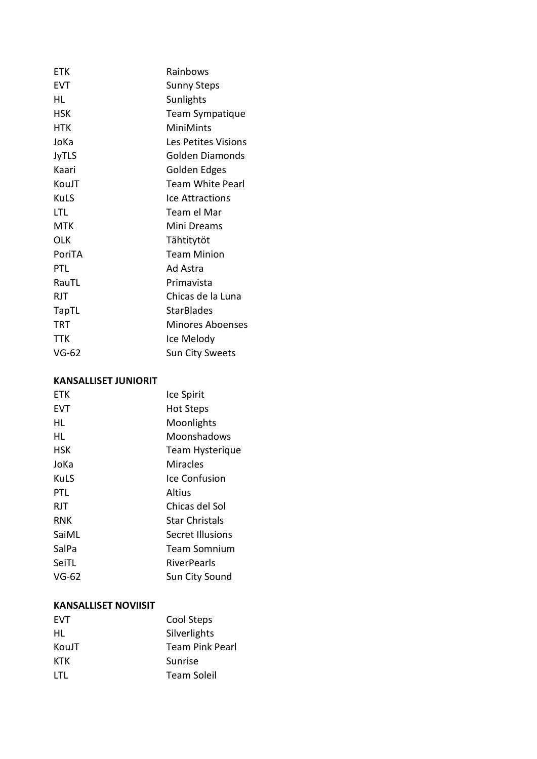| <b>ETK</b>   | Rainbows                |
|--------------|-------------------------|
| <b>EVT</b>   | <b>Sunny Steps</b>      |
| HL           | Sunlights               |
| <b>HSK</b>   | Team Sympatique         |
| HTK          | <b>MiniMints</b>        |
| JoKa         | Les Petites Visions     |
| <b>JyTLS</b> | <b>Golden Diamonds</b>  |
| Kaari        | Golden Edges            |
| KouJT        | <b>Team White Pearl</b> |
| KuLS         | Ice Attractions         |
| LTL          | Team el Mar             |
| MTK          | Mini Dreams             |
| OLK          | Tähtitytöt              |
| PoriTA       | <b>Team Minion</b>      |
| PTL          | Ad Astra                |
| RauTL        | Primavista              |
| <b>RJT</b>   | Chicas de la Luna       |
| TapTL        | <b>StarBlades</b>       |
| TRT          | Minores Aboenses        |
| TTK          | Ice Melody              |
| VG-62        | Sun City Sweets         |

### **KANSALLISET JUNIORIT**

| <b>FTK</b> | Ice Spirit             |
|------------|------------------------|
| EVT        | <b>Hot Steps</b>       |
| HL         | Moonlights             |
| HL         | Moonshadows            |
| HSK        | <b>Team Hysterique</b> |
| JoKa       | <b>Miracles</b>        |
| KuLS       | Ice Confusion          |
| PTL        | Altius                 |
| RJT        | Chicas del Sol         |
| RNK        | <b>Star Christals</b>  |
| SaiML      | Secret Illusions       |
| SalPa      | Team Somnium           |
| SeiTL      | <b>RiverPearls</b>     |
| VG-62      | Sun City Sound         |

### **KANSALLISET NOVIISIT**

| Cool Steps             |
|------------------------|
| Silverlights           |
| <b>Team Pink Pearl</b> |
| Sunrise                |
| Team Soleil            |
|                        |